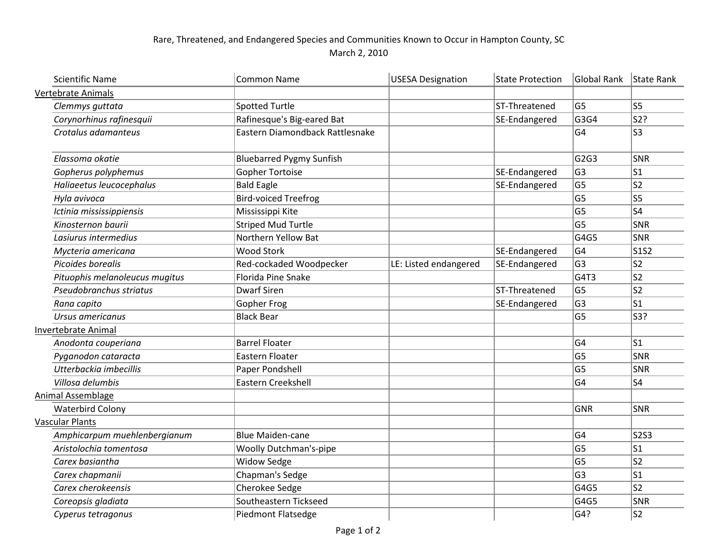## Rare, Threatened, and Endangered Species and Communities Known to Occur in Hampton County, SC March 2, 2010

|                            | <b>Scientific Name</b>         | <b>Common Name</b>              | <b>USESA Designation</b> | <b>State Protection</b> | Global Rank    | State Rank |
|----------------------------|--------------------------------|---------------------------------|--------------------------|-------------------------|----------------|------------|
|                            | Vertebrate Animals             |                                 |                          |                         |                |            |
|                            | Clemmys guttata                | <b>Spotted Turtle</b>           |                          | ST-Threatened           | G <sub>5</sub> | S5         |
|                            | Corynorhinus rafinesquii       | Rafinesque's Big-eared Bat      |                          | SE-Endangered           | G3G4           | S2?        |
|                            | Crotalus adamanteus            | Eastern Diamondback Rattlesnake |                          |                         | G <sub>4</sub> | S3         |
|                            | Elassoma okatie                | <b>Bluebarred Pygmy Sunfish</b> |                          |                         | G2G3           | <b>SNR</b> |
|                            | Gopherus polyphemus            | <b>Gopher Tortoise</b>          |                          | SE-Endangered           | G <sub>3</sub> | ls1        |
|                            | Haliaeetus leucocephalus       | <b>Bald Eagle</b>               |                          | SE-Endangered           | G <sub>5</sub> | S2         |
|                            | Hyla avivoca                   | <b>Bird-voiced Treefrog</b>     |                          |                         | G <sub>5</sub> | S5         |
|                            | Ictinia mississippiensis       | Mississippi Kite                |                          |                         | G <sub>5</sub> | ls4        |
|                            | Kinosternon baurii             | <b>Striped Mud Turtle</b>       |                          |                         | G <sub>5</sub> | SNR        |
|                            | Lasiurus intermedius           | Northern Yellow Bat             |                          |                         | G4G5           | SNR        |
|                            | Mycteria americana             | <b>Wood Stork</b>               |                          | SE-Endangered           | G <sub>4</sub> | S1S2       |
|                            | Picoides borealis              | Red-cockaded Woodpecker         | LE: Listed endangered    | SE-Endangered           | G <sub>3</sub> | S2         |
|                            | Pituophis melanoleucus mugitus | <b>Florida Pine Snake</b>       |                          |                         | G4T3           | S2         |
|                            | Pseudobranchus striatus        | <b>Dwarf Siren</b>              |                          | ST-Threatened           | G <sub>5</sub> | ls2        |
|                            | Rana capito                    | <b>Gopher Frog</b>              |                          | SE-Endangered           | G <sub>3</sub> | ls1        |
|                            | Ursus americanus               | <b>Black Bear</b>               |                          |                         | G <sub>5</sub> | S3?        |
| <b>Invertebrate Animal</b> |                                |                                 |                          |                         |                |            |
|                            | Anodonta couperiana            | <b>Barrel Floater</b>           |                          |                         | G <sub>4</sub> | ls1        |
|                            | Pyganodon cataracta            | Eastern Floater                 |                          |                         | G <sub>5</sub> | <b>SNR</b> |
|                            | Utterbackia imbecillis         | Paper Pondshell                 |                          |                         | G <sub>5</sub> | SNR        |
|                            | Villosa delumbis               | Eastern Creekshell              |                          |                         | G <sub>4</sub> | S4         |
|                            | <b>Animal Assemblage</b>       |                                 |                          |                         |                |            |
|                            | <b>Waterbird Colony</b>        |                                 |                          |                         | <b>GNR</b>     | <b>SNR</b> |
| <b>Vascular Plants</b>     |                                |                                 |                          |                         |                |            |
|                            | Amphicarpum muehlenbergianum   | <b>Blue Maiden-cane</b>         |                          |                         | G <sub>4</sub> | $ $ S2S3   |
|                            | Aristolochia tomentosa         | Woolly Dutchman's-pipe          |                          |                         | G <sub>5</sub> | S1         |
|                            | Carex basiantha                | <b>Widow Sedge</b>              |                          |                         | G <sub>5</sub> | S2         |
|                            | Carex chapmanii                | Chapman's Sedge                 |                          |                         | G <sub>3</sub> | S1         |
|                            | Carex cherokeensis             | Cherokee Sedge                  |                          |                         | G4G5           | ls2        |
|                            | Coreopsis gladiata             | Southeastern Tickseed           |                          |                         | G4G5           | SNR        |
|                            | Cyperus tetragonus             | Piedmont Flatsedge              |                          |                         | G4?            | ls2        |